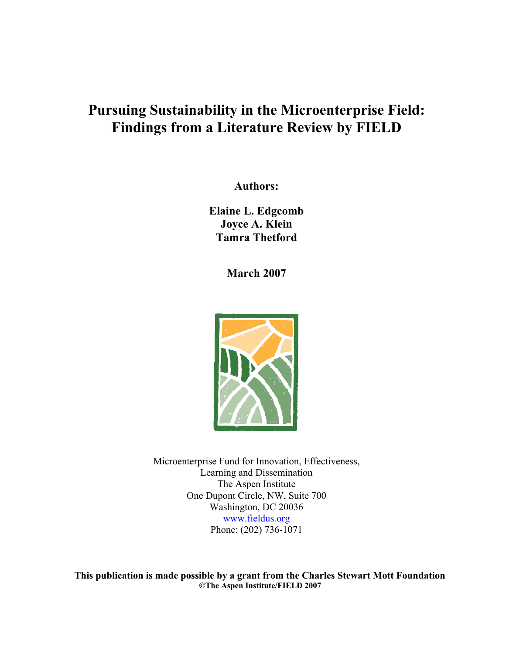## **Pursuing Sustainability in the Microenterprise Field: Findings from a Literature Review by FIELD**

**Authors:** 

**Elaine L. Edgcomb Joyce A. Klein Tamra Thetford** 

**March 2007** 



Microenterprise Fund for Innovation, Effectiveness, Learning and Dissemination The Aspen Institute One Dupont Circle, NW, Suite 700 Washington, DC 20036 www.fieldus.org Phone: (202) 736-1071

**This publication is made possible by a grant from the Charles Stewart Mott Foundation ©The Aspen Institute/FIELD 2007**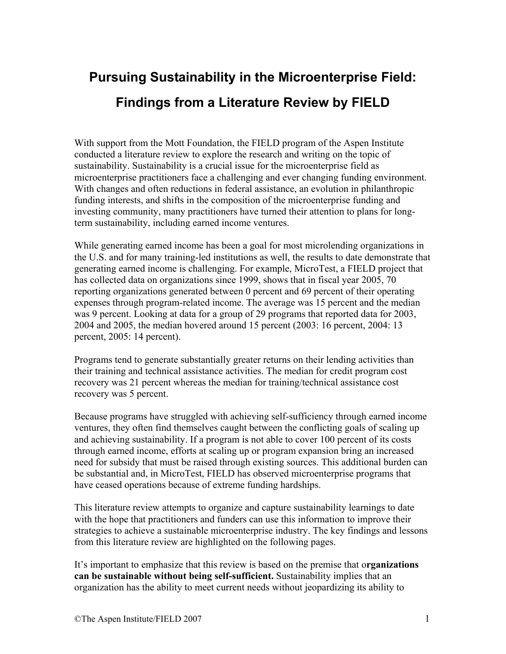# **Pursuing Sustainability in the Microenterprise Field: Findings from a Literature Review by FIELD**

With support from the Mott Foundation, the FIELD program of the Aspen Institute conducted a literature review to explore the research and writing on the topic of sustainability. Sustainability is a crucial issue for the microenterprise field as microenterprise practitioners face a challenging and ever changing funding environment. With changes and often reductions in federal assistance, an evolution in philanthropic funding interests, and shifts in the composition of the microenterprise funding and investing community, many practitioners have turned their attention to plans for longterm sustainability, including earned income ventures.

While generating earned income has been a goal for most microlending organizations in the U.S. and for many training-led institutions as well, the results to date demonstrate that generating earned income is challenging. For example, MicroTest, a FIELD project that has collected data on organizations since 1999, shows that in fiscal year 2005, 70 reporting organizations generated between 0 percent and 69 percent of their operating expenses through program-related income. The average was 15 percent and the median was 9 percent. Looking at data for a group of 29 programs that reported data for 2003, 2004 and 2005, the median hovered around 15 percent (2003: 16 percent, 2004: 13 percent, 2005: 14 percent).

Programs tend to generate substantially greater returns on their lending activities than their training and technical assistance activities. The median for credit program cost recovery was 21 percent whereas the median for training/technical assistance cost recovery was 5 percent.

Because programs have struggled with achieving self-sufficiency through earned income ventures, they often find themselves caught between the conflicting goals of scaling up and achieving sustainability. If a program is not able to cover 100 percent of its costs through earned income, efforts at scaling up or program expansion bring an increased need for subsidy that must be raised through existing sources. This additional burden can be substantial and, in MicroTest, FIELD has observed microenterprise programs that have ceased operations because of extreme funding hardships.

This literature review attempts to organize and capture sustainability learnings to date with the hope that practitioners and funders can use this information to improve their strategies to achieve a sustainable microenterprise industry. The key findings and lessons from this literature review are highlighted on the following pages.

It's important to emphasize that this review is based on the premise that o**rganizations can be sustainable without being self-sufficient.** Sustainability implies that an organization has the ability to meet current needs without jeopardizing its ability to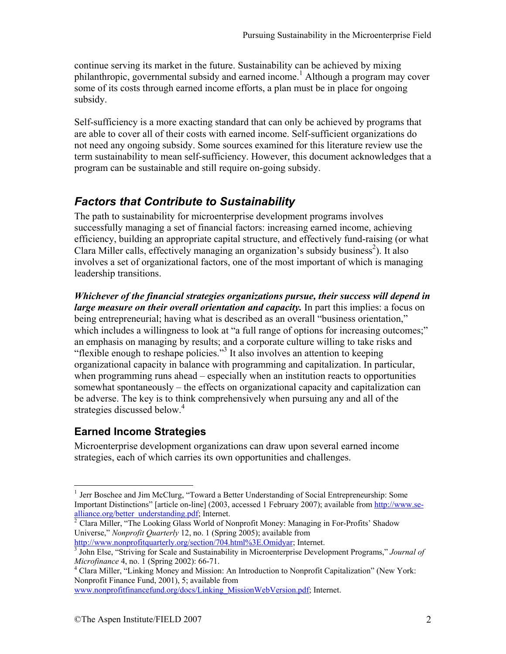continue serving its market in the future. Sustainability can be achieved by mixing philanthropic, governmental subsidy and earned income.<sup>1</sup> Although a program may cover some of its costs through earned income efforts, a plan must be in place for ongoing subsidy.

Self-sufficiency is a more exacting standard that can only be achieved by programs that are able to cover all of their costs with earned income. Self-sufficient organizations do not need any ongoing subsidy. Some sources examined for this literature review use the term sustainability to mean self-sufficiency. However, this document acknowledges that a program can be sustainable and still require on-going subsidy.

## *Factors that Contribute to Sustainability*

The path to sustainability for microenterprise development programs involves successfully managing a set of financial factors: increasing earned income, achieving efficiency, building an appropriate capital structure, and effectively fund-raising (or what Clara Miller calls, effectively managing an organization's subsidy business<sup>2</sup>). It also involves a set of organizational factors, one of the most important of which is managing leadership transitions.

*Whichever of the financial strategies organizations pursue, their success will depend in large measure on their overall orientation and capacity.* In part this implies: a focus on being entrepreneurial; having what is described as an overall "business orientation," which includes a willingness to look at "a full range of options for increasing outcomes;" an emphasis on managing by results; and a corporate culture willing to take risks and "flexible enough to reshape policies."<sup>3</sup> It also involves an attention to keeping organizational capacity in balance with programming and capitalization. In particular, when programming runs ahead – especially when an institution reacts to opportunities somewhat spontaneously – the effects on organizational capacity and capitalization can be adverse. The key is to think comprehensively when pursuing any and all of the strategies discussed below.<sup>4</sup>

## **Earned Income Strategies**

 $\overline{a}$ 

Microenterprise development organizations can draw upon several earned income strategies, each of which carries its own opportunities and challenges.

<sup>4</sup> Clara Miller, "Linking Money and Mission: An Introduction to Nonprofit Capitalization" (New York: Nonprofit Finance Fund, 2001), 5; available from

www.nonprofitfinancefund.org/docs/Linking\_MissionWebVersion.pdf; Internet.

<sup>&</sup>lt;sup>1</sup> Jerr Boschee and Jim McClurg, "Toward a Better Understanding of Social Entrepreneurship: Some Important Distinctions" [article on-line] (2003, accessed 1 February 2007); available from http://www.se-<br>alliance.org/better\_understanding.pdf; Internet.

 $\overline{P}$  Clara Miller, "The Looking Glass World of Nonprofit Money: Managing in For-Profits' Shadow Universe," *Nonprofit Quarterly* 12, no. 1 (Spring 2005); available from

http://www.nonprofitquarterly.org/section/704.html%3E.Omidyar; Internet.

<sup>&</sup>lt;sup>3</sup> John Else, "Striving for Scale and Sustainability in Microenterprise Development Programs," *Journal of Microfinance* 4, no. 1 (Spring 2002): 66-71. 4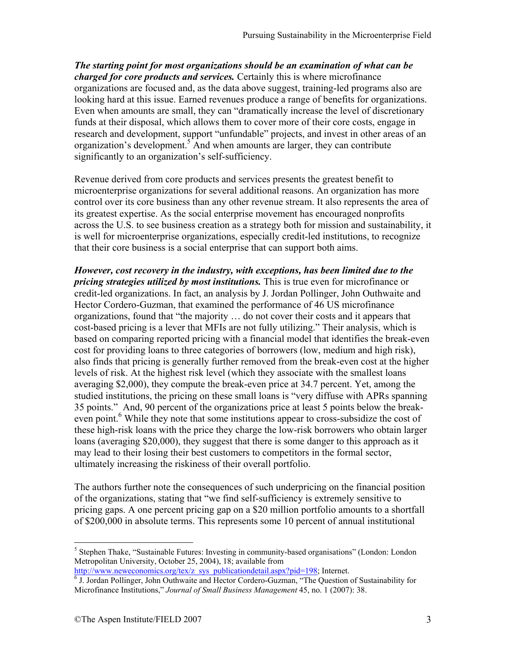*The starting point for most organizations should be an examination of what can be charged for core products and services.* Certainly this is where microfinance organizations are focused and, as the data above suggest, training-led programs also are looking hard at this issue. Earned revenues produce a range of benefits for organizations. Even when amounts are small, they can "dramatically increase the level of discretionary funds at their disposal, which allows them to cover more of their core costs, engage in research and development, support "unfundable" projects, and invest in other areas of an organization's development.<sup>5</sup> And when amounts are larger, they can contribute significantly to an organization's self-sufficiency.

Revenue derived from core products and services presents the greatest benefit to microenterprise organizations for several additional reasons. An organization has more control over its core business than any other revenue stream. It also represents the area of its greatest expertise. As the social enterprise movement has encouraged nonprofits across the U.S. to see business creation as a strategy both for mission and sustainability, it is well for microenterprise organizations, especially credit-led institutions, to recognize that their core business is a social enterprise that can support both aims.

*However, cost recovery in the industry, with exceptions, has been limited due to the pricing strategies utilized by most institutions.* This is true even for microfinance or credit-led organizations. In fact, an analysis by J. Jordan Pollinger, John Outhwaite and Hector Cordero-Guzman, that examined the performance of 46 US microfinance organizations, found that "the majority … do not cover their costs and it appears that cost-based pricing is a lever that MFIs are not fully utilizing." Their analysis, which is based on comparing reported pricing with a financial model that identifies the break-even cost for providing loans to three categories of borrowers (low, medium and high risk), also finds that pricing is generally further removed from the break-even cost at the higher levels of risk. At the highest risk level (which they associate with the smallest loans averaging \$2,000), they compute the break-even price at 34.7 percent. Yet, among the studied institutions, the pricing on these small loans is "very diffuse with APRs spanning 35 points." And, 90 percent of the organizations price at least 5 points below the breakeven point.<sup>6</sup> While they note that some institutions appear to cross-subsidize the cost of these high-risk loans with the price they charge the low-risk borrowers who obtain larger loans (averaging \$20,000), they suggest that there is some danger to this approach as it may lead to their losing their best customers to competitors in the formal sector, ultimately increasing the riskiness of their overall portfolio.

The authors further note the consequences of such underpricing on the financial position of the organizations, stating that "we find self-sufficiency is extremely sensitive to pricing gaps. A one percent pricing gap on a \$20 million portfolio amounts to a shortfall of \$200,000 in absolute terms. This represents some 10 percent of annual institutional

<sup>&</sup>lt;sup>5</sup> Stephen Thake, "Sustainable Futures: Investing in community-based organisations" (London: London Metropolitan University, October 25, 2004), 18; available from

http://www.neweconomics.org/tex/z\_sys\_publicationdetail.aspx?pid=198; Internet.

 $\overline{6}$  J. Jordan Pollinger, John Outhwaite and Hector Cordero-Guzman, "The Question of Sustainability for Microfinance Institutions," *Journal of Small Business Management* 45, no. 1 (2007): 38.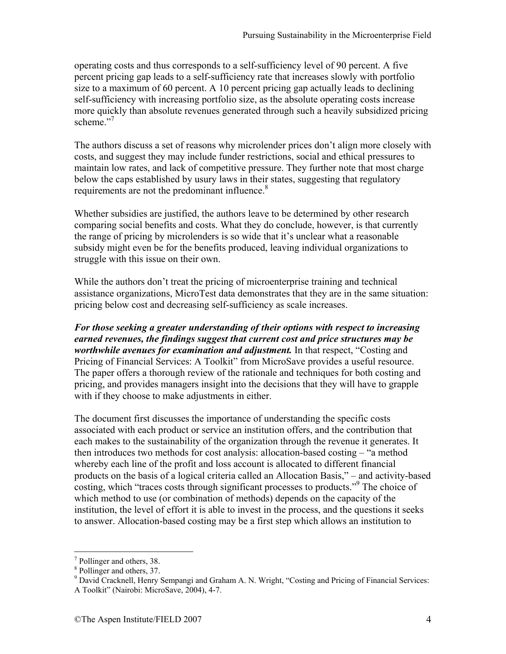operating costs and thus corresponds to a self-sufficiency level of 90 percent. A five percent pricing gap leads to a self-sufficiency rate that increases slowly with portfolio size to a maximum of 60 percent. A 10 percent pricing gap actually leads to declining self-sufficiency with increasing portfolio size, as the absolute operating costs increase more quickly than absolute revenues generated through such a heavily subsidized pricing scheme."<sup>7</sup>

The authors discuss a set of reasons why microlender prices don't align more closely with costs, and suggest they may include funder restrictions, social and ethical pressures to maintain low rates, and lack of competitive pressure. They further note that most charge below the caps established by usury laws in their states, suggesting that regulatory requirements are not the predominant influence.<sup>8</sup>

Whether subsidies are justified, the authors leave to be determined by other research comparing social benefits and costs. What they do conclude, however, is that currently the range of pricing by microlenders is so wide that it's unclear what a reasonable subsidy might even be for the benefits produced, leaving individual organizations to struggle with this issue on their own.

While the authors don't treat the pricing of microenterprise training and technical assistance organizations, MicroTest data demonstrates that they are in the same situation: pricing below cost and decreasing self-sufficiency as scale increases.

*For those seeking a greater understanding of their options with respect to increasing earned revenues, the findings suggest that current cost and price structures may be worthwhile avenues for examination and adjustment.* In that respect, "Costing and Pricing of Financial Services: A Toolkit" from MicroSave provides a useful resource. The paper offers a thorough review of the rationale and techniques for both costing and pricing, and provides managers insight into the decisions that they will have to grapple with if they choose to make adjustments in either.

The document first discusses the importance of understanding the specific costs associated with each product or service an institution offers, and the contribution that each makes to the sustainability of the organization through the revenue it generates. It then introduces two methods for cost analysis: allocation-based costing – "a method whereby each line of the profit and loss account is allocated to different financial products on the basis of a logical criteria called an Allocation Basis," – and activity-based costing, which "traces costs through significant processes to products."<sup>9</sup> The choice of which method to use (or combination of methods) depends on the capacity of the institution, the level of effort it is able to invest in the process, and the questions it seeks to answer. Allocation-based costing may be a first step which allows an institution to

<sup>7</sup> Pollinger and others, 38.

<sup>8</sup> Pollinger and others, 37.

<sup>&</sup>lt;sup>9</sup> David Cracknell, Henry Sempangi and Graham A. N. Wright, "Costing and Pricing of Financial Services: A Toolkit" (Nairobi: MicroSave, 2004), 4-7.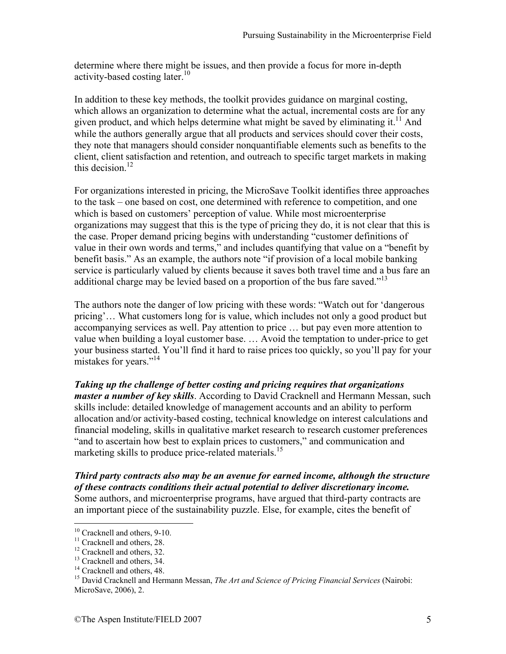determine where there might be issues, and then provide a focus for more in-depth activity-based costing later.<sup>10</sup>

In addition to these key methods, the toolkit provides guidance on marginal costing, which allows an organization to determine what the actual, incremental costs are for any given product, and which helps determine what might be saved by eliminating it.<sup>11</sup> And while the authors generally argue that all products and services should cover their costs, they note that managers should consider nonquantifiable elements such as benefits to the client, client satisfaction and retention, and outreach to specific target markets in making this decision.<sup>12</sup>

For organizations interested in pricing, the MicroSave Toolkit identifies three approaches to the task – one based on cost, one determined with reference to competition, and one which is based on customers' perception of value. While most microenterprise organizations may suggest that this is the type of pricing they do, it is not clear that this is the case. Proper demand pricing begins with understanding "customer definitions of value in their own words and terms," and includes quantifying that value on a "benefit by benefit basis." As an example, the authors note "if provision of a local mobile banking service is particularly valued by clients because it saves both travel time and a bus fare an additional charge may be levied based on a proportion of the bus fare saved."<sup>13</sup>

The authors note the danger of low pricing with these words: "Watch out for 'dangerous pricing'… What customers long for is value, which includes not only a good product but accompanying services as well. Pay attention to price … but pay even more attention to value when building a loyal customer base. … Avoid the temptation to under-price to get your business started. You'll find it hard to raise prices too quickly, so you'll pay for your mistakes for years."<sup>14</sup>

*Taking up the challenge of better costing and pricing requires that organizations master a number of key skills*. According to David Cracknell and Hermann Messan, such skills include: detailed knowledge of management accounts and an ability to perform allocation and/or activity-based costing, technical knowledge on interest calculations and financial modeling, skills in qualitative market research to research customer preferences "and to ascertain how best to explain prices to customers," and communication and marketing skills to produce price-related materials.<sup>15</sup>

*Third party contracts also may be an avenue for earned income, although the structure of these contracts conditions their actual potential to deliver discretionary income.* Some authors, and microenterprise programs, have argued that third-party contracts are an important piece of the sustainability puzzle. Else, for example, cites the benefit of

<sup>&</sup>lt;sup>10</sup> Cracknell and others, 9-10.

<sup>&</sup>lt;sup>11</sup> Cracknell and others, 28.

<sup>&</sup>lt;sup>12</sup> Cracknell and others, 32.

<sup>&</sup>lt;sup>13</sup> Cracknell and others, 34.

<sup>&</sup>lt;sup>14</sup> Cracknell and others, 48.

<sup>15</sup> David Cracknell and Hermann Messan, *The Art and Science of Pricing Financial Services* (Nairobi: MicroSave, 2006), 2.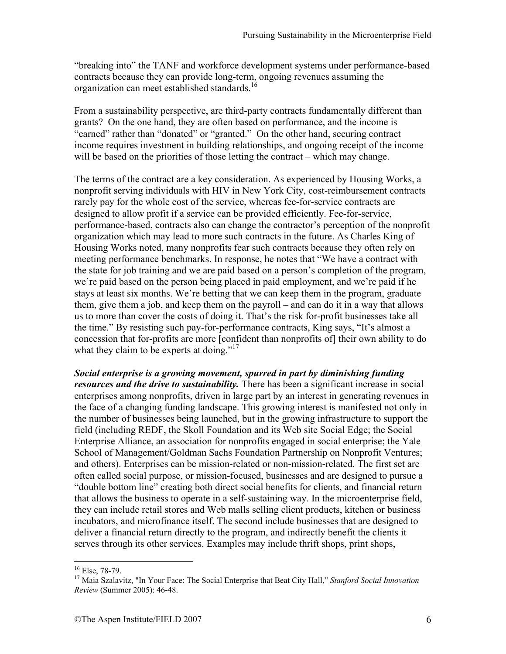"breaking into" the TANF and workforce development systems under performance-based contracts because they can provide long-term, ongoing revenues assuming the organization can meet established standards.16

From a sustainability perspective, are third-party contracts fundamentally different than grants? On the one hand, they are often based on performance, and the income is "earned" rather than "donated" or "granted." On the other hand, securing contract income requires investment in building relationships, and ongoing receipt of the income will be based on the priorities of those letting the contract – which may change.

The terms of the contract are a key consideration. As experienced by Housing Works, a nonprofit serving individuals with HIV in New York City, cost-reimbursement contracts rarely pay for the whole cost of the service, whereas fee-for-service contracts are designed to allow profit if a service can be provided efficiently. Fee-for-service, performance-based, contracts also can change the contractor's perception of the nonprofit organization which may lead to more such contracts in the future. As Charles King of Housing Works noted, many nonprofits fear such contracts because they often rely on meeting performance benchmarks. In response, he notes that "We have a contract with the state for job training and we are paid based on a person's completion of the program, we're paid based on the person being placed in paid employment, and we're paid if he stays at least six months. We're betting that we can keep them in the program, graduate them, give them a job, and keep them on the payroll – and can do it in a way that allows us to more than cover the costs of doing it. That's the risk for-profit businesses take all the time." By resisting such pay-for-performance contracts, King says, "It's almost a concession that for-profits are more [confident than nonprofits of] their own ability to do what they claim to be experts at doing."<sup>17</sup>

*Social enterprise is a growing movement, spurred in part by diminishing funding resources and the drive to sustainability.* There has been a significant increase in social enterprises among nonprofits, driven in large part by an interest in generating revenues in the face of a changing funding landscape. This growing interest is manifested not only in the number of businesses being launched, but in the growing infrastructure to support the field (including REDF, the Skoll Foundation and its Web site Social Edge; the Social Enterprise Alliance, an association for nonprofits engaged in social enterprise; the Yale School of Management/Goldman Sachs Foundation Partnership on Nonprofit Ventures; and others). Enterprises can be mission-related or non-mission-related. The first set are often called social purpose, or mission-focused, businesses and are designed to pursue a "double bottom line" creating both direct social benefits for clients, and financial return that allows the business to operate in a self-sustaining way. In the microenterprise field, they can include retail stores and Web malls selling client products, kitchen or business incubators, and microfinance itself. The second include businesses that are designed to deliver a financial return directly to the program, and indirectly benefit the clients it serves through its other services. Examples may include thrift shops, print shops,

1

 $16$  Else, 78-79.

<sup>17</sup> Maia Szalavitz, "In Your Face: The Social Enterprise that Beat City Hall," *Stanford Social Innovation Review* (Summer 2005): 46-48.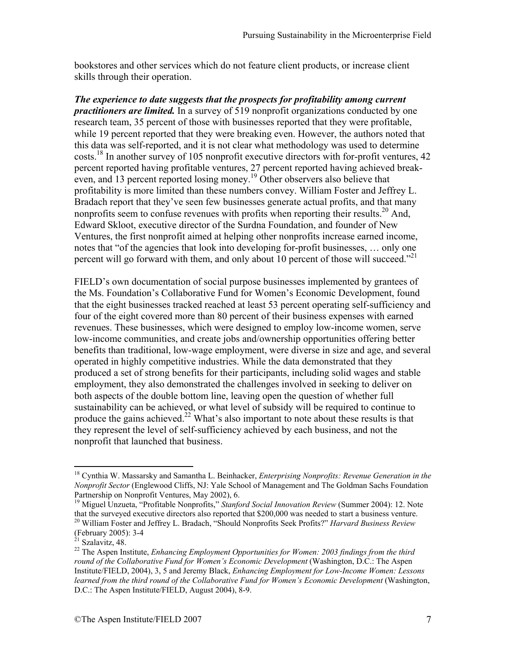bookstores and other services which do not feature client products, or increase client skills through their operation.

*The experience to date suggests that the prospects for profitability among current practitioners are limited.* In a survey of 519 nonprofit organizations conducted by one research team, 35 percent of those with businesses reported that they were profitable, while 19 percent reported that they were breaking even. However, the authors noted that this data was self-reported, and it is not clear what methodology was used to determine costs.<sup>18</sup> In another survey of 105 nonprofit executive directors with for-profit ventures, 42 percent reported having profitable ventures, 27 percent reported having achieved breakeven, and 13 percent reported losing money.<sup>19</sup> Other observers also believe that profitability is more limited than these numbers convey. William Foster and Jeffrey L. Bradach report that they've seen few businesses generate actual profits, and that many nonprofits seem to confuse revenues with profits when reporting their results.<sup>20</sup> And, Edward Skloot, executive director of the Surdna Foundation, and founder of New Ventures, the first nonprofit aimed at helping other nonprofits increase earned income, notes that "of the agencies that look into developing for-profit businesses, … only one percent will go forward with them, and only about 10 percent of those will succeed."<sup>21</sup>

FIELD's own documentation of social purpose businesses implemented by grantees of the Ms. Foundation's Collaborative Fund for Women's Economic Development, found that the eight businesses tracked reached at least 53 percent operating self-sufficiency and four of the eight covered more than 80 percent of their business expenses with earned revenues. These businesses, which were designed to employ low-income women, serve low-income communities, and create jobs and/ownership opportunities offering better benefits than traditional, low-wage employment, were diverse in size and age, and several operated in highly competitive industries. While the data demonstrated that they produced a set of strong benefits for their participants, including solid wages and stable employment, they also demonstrated the challenges involved in seeking to deliver on both aspects of the double bottom line, leaving open the question of whether full sustainability can be achieved, or what level of subsidy will be required to continue to produce the gains achieved.<sup>22</sup> What's also important to note about these results is that they represent the level of self-sufficiency achieved by each business, and not the nonprofit that launched that business.

<sup>18</sup> Cynthia W. Massarsky and Samantha L. Beinhacker, *Enterprising Nonprofits: Revenue Generation in the Nonprofit Sector* (Englewood Cliffs, NJ: Yale School of Management and The Goldman Sachs Foundation Partnership on Nonprofit Ventures, May 2002), 6.

<sup>&</sup>lt;sup>19</sup> Miguel Unzueta, "Profitable Nonprofits," *Stanford Social Innovation Review* (Summer 2004): 12. Note that the surveyed executive directors also reported that \$200,000 was needed to start a business venture. <sup>20</sup> William Foster and Jeffrey L. Bradach, "Should Nonprofits Seek Profits?" *Harvard Business Review* 

<sup>(</sup>February 2005): 3-4

 $^{21}$  Szalavitz, 48.

<sup>22</sup> The Aspen Institute, *Enhancing Employment Opportunities for Women: 2003 findings from the third round of the Collaborative Fund for Women's Economic Development* (Washington, D.C.: The Aspen Institute/FIELD, 2004), 3, 5 and Jeremy Black, *Enhancing Employment for Low-Income Women: Lessons learned from the third round of the Collaborative Fund for Women's Economic Development* (Washington, D.C.: The Aspen Institute/FIELD, August 2004), 8-9.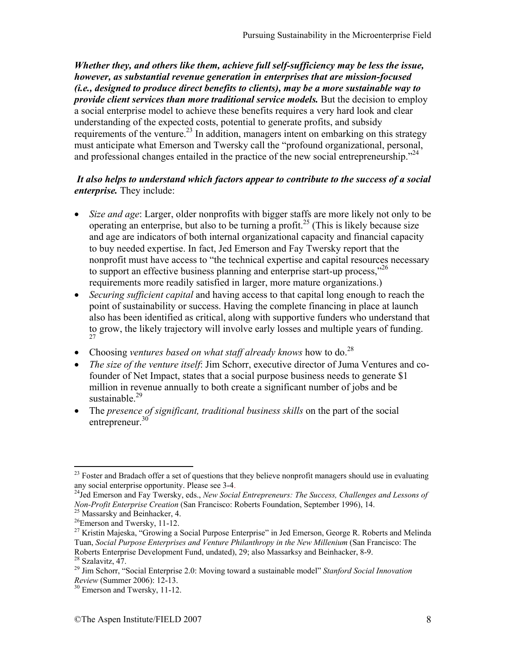*Whether they, and others like them, achieve full self-sufficiency may be less the issue, however, as substantial revenue generation in enterprises that are mission-focused (i.e., designed to produce direct benefits to clients), may be a more sustainable way to provide client services than more traditional service models.* But the decision to employ a social enterprise model to achieve these benefits requires a very hard look and clear understanding of the expected costs, potential to generate profits, and subsidy requirements of the venture.<sup>23</sup> In addition, managers intent on embarking on this strategy must anticipate what Emerson and Twersky call the "profound organizational, personal, and professional changes entailed in the practice of the new social entrepreneurship.<sup> $24$ </sup>

#### *It also helps to understand which factors appear to contribute to the success of a social enterprise.* They include:

- *Size and age*: Larger, older nonprofits with bigger staffs are more likely not only to be operating an enterprise, but also to be turning a profit.<sup>25</sup> (This is likely because size and age are indicators of both internal organizational capacity and financial capacity to buy needed expertise. In fact, Jed Emerson and Fay Twersky report that the nonprofit must have access to "the technical expertise and capital resources necessary to support an effective business planning and enterprise start-up process,"<sup>26</sup> requirements more readily satisfied in larger, more mature organizations.)
- *Securing sufficient capital* and having access to that capital long enough to reach the point of sustainability or success. Having the complete financing in place at launch also has been identified as critical, along with supportive funders who understand that to grow, the likely trajectory will involve early losses and multiple years of funding.
- Choosing *ventures based on what staff already knows* how to do.<sup>28</sup>
- *The size of the venture itself*: Jim Schorr, executive director of Juma Ventures and cofounder of Net Impact, states that a social purpose business needs to generate \$1 million in revenue annually to both create a significant number of jobs and be sustainable. $^{29}$
- The *presence of significant, traditional business skills* on the part of the social entrepreneur.<sup>30</sup>

 $2<sup>23</sup>$  Foster and Bradach offer a set of questions that they believe nonprofit managers should use in evaluating any social enterprise opportunity. Please see 3-4.<br><sup>24</sup>Jed Emerson and Fay Twersky, eds., *New Social Entrepreneurs: The Success, Challenges and Lessons of* 

*Non-Profit Enterprise Creation* (San Francisco: Roberts Foundation, September 1996), 14. 25 Massarsky and Beinhacker, 4.

<sup>26</sup>Emerson and Twersky, 11-12.

<sup>&</sup>lt;sup>27</sup> Kristin Majeska, "Growing a Social Purpose Enterprise" in Jed Emerson, George R. Roberts and Melinda Tuan, *Social Purpose Enterprises and Venture Philanthropy in the New Millenium* (San Francisco: The Roberts Enterprise Development Fund, undated), 29; also Massarksy and Beinhacker, 8-9.

<sup>28</sup> Szalavitz, 47.

<sup>&</sup>lt;sup>29</sup> Jim Schorr, "Social Enterprise 2.0: Moving toward a sustainable model" *Stanford Social Innovation Review* (Summer 2006): 12-13.

<sup>&</sup>lt;sup>30</sup> Emerson and Twersky, 11-12.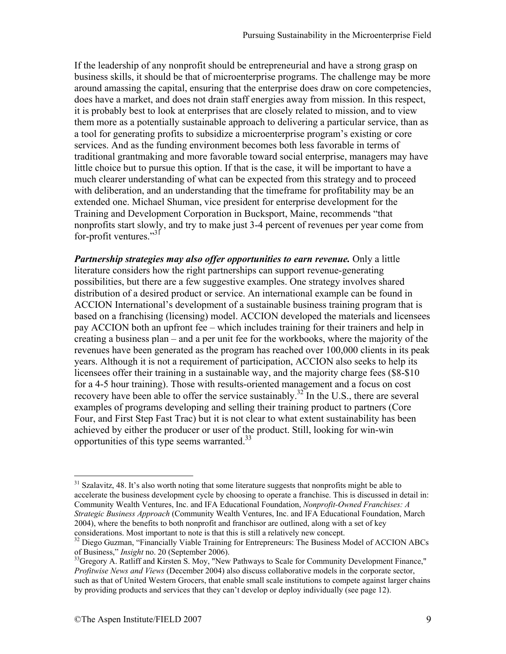If the leadership of any nonprofit should be entrepreneurial and have a strong grasp on business skills, it should be that of microenterprise programs. The challenge may be more around amassing the capital, ensuring that the enterprise does draw on core competencies, does have a market, and does not drain staff energies away from mission. In this respect, it is probably best to look at enterprises that are closely related to mission, and to view them more as a potentially sustainable approach to delivering a particular service, than as a tool for generating profits to subsidize a microenterprise program's existing or core services. And as the funding environment becomes both less favorable in terms of traditional grantmaking and more favorable toward social enterprise, managers may have little choice but to pursue this option. If that is the case, it will be important to have a much clearer understanding of what can be expected from this strategy and to proceed with deliberation, and an understanding that the timeframe for profitability may be an extended one. Michael Shuman, vice president for enterprise development for the Training and Development Corporation in Bucksport, Maine, recommends "that nonprofits start slowly, and try to make just 3-4 percent of revenues per year come from for-profit ventures."<sup>31</sup>

*Partnership strategies may also offer opportunities to earn revenue.* Only a little literature considers how the right partnerships can support revenue-generating possibilities, but there are a few suggestive examples. One strategy involves shared distribution of a desired product or service. An international example can be found in ACCION International's development of a sustainable business training program that is based on a franchising (licensing) model. ACCION developed the materials and licensees pay ACCION both an upfront fee – which includes training for their trainers and help in creating a business plan – and a per unit fee for the workbooks, where the majority of the revenues have been generated as the program has reached over 100,000 clients in its peak years. Although it is not a requirement of participation, ACCION also seeks to help its licensees offer their training in a sustainable way, and the majority charge fees (\$8-\$10 for a 4-5 hour training). Those with results-oriented management and a focus on cost recovery have been able to offer the service sustainably.<sup>32</sup> In the U.S., there are several examples of programs developing and selling their training product to partners (Core Four, and First Step Fast Trac) but it is not clear to what extent sustainability has been achieved by either the producer or user of the product. Still, looking for win-win opportunities of this type seems warranted.33

<sup>&</sup>lt;sup>31</sup> Szalavitz, 48. It's also worth noting that some literature suggests that nonprofits might be able to accelerate the business development cycle by choosing to operate a franchise. This is discussed in detail in: Community Wealth Ventures, Inc. and IFA Educational Foundation, *Nonprofit-Owned Franchises: A Strategic Business Approach* (Community Wealth Ventures, Inc. and IFA Educational Foundation, March 2004), where the benefits to both nonprofit and franchisor are outlined, along with a set of key

considerations. Most important to note is that this is still a relatively new concept.<br><sup>32</sup> Diego Guzman, "Financially Viable Training for Entrepreneurs: The Business Model of ACCION ABCs<br>of Business," *Insight* no. 20 (Se

<sup>&</sup>lt;sup>33</sup>Gregory A. Ratliff and Kirsten S. Moy, "New Pathways to Scale for Community Development Finance," *Profitwise News and Views* (December 2004) also discuss collaborative models in the corporate sector, such as that of United Western Grocers, that enable small scale institutions to compete against larger chains by providing products and services that they can't develop or deploy individually (see page 12).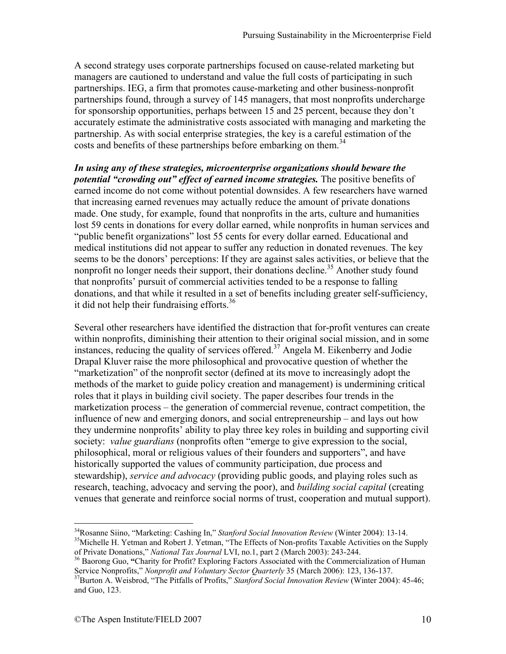A second strategy uses corporate partnerships focused on cause-related marketing but managers are cautioned to understand and value the full costs of participating in such partnerships. IEG, a firm that promotes cause-marketing and other business-nonprofit partnerships found, through a survey of 145 managers, that most nonprofits undercharge for sponsorship opportunities, perhaps between 15 and 25 percent, because they don't accurately estimate the administrative costs associated with managing and marketing the partnership. As with social enterprise strategies, the key is a careful estimation of the costs and benefits of these partnerships before embarking on them.<sup>34</sup>

*In using any of these strategies, microenterprise organizations should beware the potential "crowding out" effect of earned income strategies.* The positive benefits of earned income do not come without potential downsides. A few researchers have warned that increasing earned revenues may actually reduce the amount of private donations made. One study, for example, found that nonprofits in the arts, culture and humanities lost 59 cents in donations for every dollar earned, while nonprofits in human services and "public benefit organizations" lost 55 cents for every dollar earned. Educational and medical institutions did not appear to suffer any reduction in donated revenues. The key seems to be the donors' perceptions: If they are against sales activities, or believe that the nonprofit no longer needs their support, their donations decline.<sup>35</sup> Another study found that nonprofits' pursuit of commercial activities tended to be a response to falling donations, and that while it resulted in a set of benefits including greater self-sufficiency, it did not help their fundraising efforts.<sup>36</sup>

Several other researchers have identified the distraction that for-profit ventures can create within nonprofits, diminishing their attention to their original social mission, and in some instances, reducing the quality of services offered.37 Angela M. Eikenberry and Jodie Drapal Kluver raise the more philosophical and provocative question of whether the "marketization" of the nonprofit sector (defined at its move to increasingly adopt the methods of the market to guide policy creation and management) is undermining critical roles that it plays in building civil society. The paper describes four trends in the marketization process – the generation of commercial revenue, contract competition, the influence of new and emerging donors, and social entrepreneurship – and lays out how they undermine nonprofits' ability to play three key roles in building and supporting civil society: *value guardians* (nonprofits often "emerge to give expression to the social, philosophical, moral or religious values of their founders and supporters", and have historically supported the values of community participation, due process and stewardship), *service and advocacy* (providing public goods, and playing roles such as research, teaching, advocacy and serving the poor), and *building social capital* (creating venues that generate and reinforce social norms of trust, cooperation and mutual support).

<sup>&</sup>lt;sup>34</sup>Rosanne Siino, "Marketing: Cashing In," *Stanford Social Innovation Review* (Winter 2004): 13-14.<br><sup>35</sup>Michelle H. Yetman and Robert J. Yetman, "The Effects of Non-profits Taxable Activities on the Supply of Private Don

<sup>&</sup>lt;sup>36</sup> Baorong Guo, "Charity for Profit? Exploring Factors Associated with the Commercialization of Human Service Nonprofits," *Nonprofit and Voluntary Sector Quarterly* 35 (March 2006): 123, 136-137.

<sup>&</sup>lt;sup>37</sup>Burton A. Weisbrod, "The Pitfalls of Profits," *Stanford Social Innovation Review* (Winter 2004): 45-46; and Guo, 123.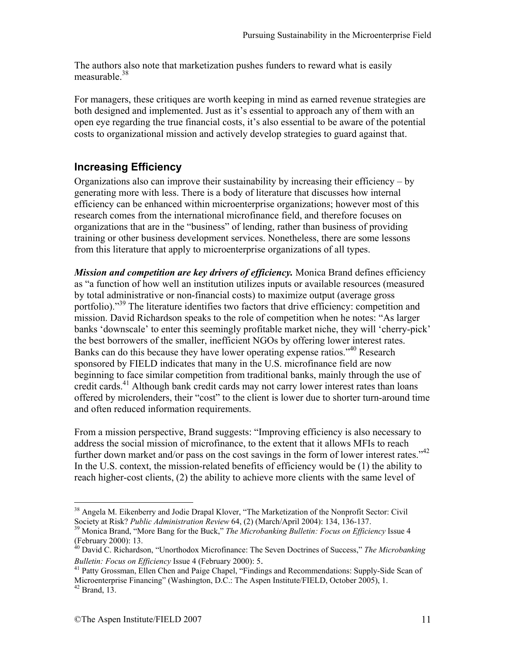The authors also note that marketization pushes funders to reward what is easily measurable  $38$ 

For managers, these critiques are worth keeping in mind as earned revenue strategies are both designed and implemented. Just as it's essential to approach any of them with an open eye regarding the true financial costs, it's also essential to be aware of the potential costs to organizational mission and actively develop strategies to guard against that.

## **Increasing Efficiency**

Organizations also can improve their sustainability by increasing their efficiency – by generating more with less. There is a body of literature that discusses how internal efficiency can be enhanced within microenterprise organizations; however most of this research comes from the international microfinance field, and therefore focuses on organizations that are in the "business" of lending, rather than business of providing training or other business development services. Nonetheless, there are some lessons from this literature that apply to microenterprise organizations of all types.

*Mission and competition are key drivers of efficiency.* Monica Brand defines efficiency as "a function of how well an institution utilizes inputs or available resources (measured by total administrative or non-financial costs) to maximize output (average gross portfolio)."<sup>39</sup> The literature identifies two factors that drive efficiency: competition and mission. David Richardson speaks to the role of competition when he notes: "As larger banks 'downscale' to enter this seemingly profitable market niche, they will 'cherry-pick' the best borrowers of the smaller, inefficient NGOs by offering lower interest rates. Banks can do this because they have lower operating expense ratios."<sup>40</sup> Research sponsored by FIELD indicates that many in the U.S. microfinance field are now beginning to face similar competition from traditional banks, mainly through the use of credit cards.<sup>41</sup> Although bank credit cards may not carry lower interest rates than loans offered by microlenders, their "cost" to the client is lower due to shorter turn-around time and often reduced information requirements.

From a mission perspective, Brand suggests: "Improving efficiency is also necessary to address the social mission of microfinance, to the extent that it allows MFIs to reach further down market and/or pass on the cost savings in the form of lower interest rates."<sup>42</sup> In the U.S. context, the mission-related benefits of efficiency would be (1) the ability to reach higher-cost clients, (2) the ability to achieve more clients with the same level of

 $\overline{a}$ <sup>38</sup> Angela M. Eikenberry and Jodie Drapal Klover, "The Marketization of the Nonprofit Sector: Civil Society at Risk? *Public Administration Review* 64, (2) (March/April 2004): 134, 136-137.<br><sup>39</sup> Monica Brand, "More Bang for the Buck," *The Microbanking Bulletin: Focus on Efficiency* Issue 4

<sup>(</sup>February 2000): 13.

<sup>40</sup> David C. Richardson, "Unorthodox Microfinance: The Seven Doctrines of Success," *The Microbanking Bulletin: Focus on Efficiency* Issue 4 (February 2000): 5.<br><sup>41</sup> Patty Grossman, Ellen Chen and Paige Chapel, "Findings and Recommendations: Supply-Side Scan of

Microenterprise Financing" (Washington, D.C.: The Aspen Institute/FIELD, October 2005), 1.<br><sup>42</sup> Brand, 13.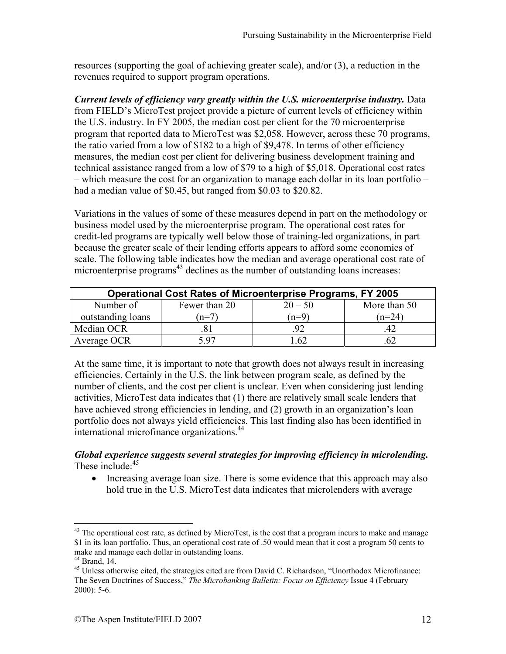resources (supporting the goal of achieving greater scale), and/or (3), a reduction in the revenues required to support program operations.

*Current levels of efficiency vary greatly within the U.S. microenterprise industry.* Data from FIELD's MicroTest project provide a picture of current levels of efficiency within the U.S. industry. In FY 2005, the median cost per client for the 70 microenterprise program that reported data to MicroTest was \$2,058. However, across these 70 programs, the ratio varied from a low of \$182 to a high of \$9,478. In terms of other efficiency measures, the median cost per client for delivering business development training and technical assistance ranged from a low of \$79 to a high of \$5,018. Operational cost rates – which measure the cost for an organization to manage each dollar in its loan portfolio – had a median value of \$0.45, but ranged from \$0.03 to \$20.82.

Variations in the values of some of these measures depend in part on the methodology or business model used by the microenterprise program. The operational cost rates for credit-led programs are typically well below those of training-led organizations, in part because the greater scale of their lending efforts appears to afford some economies of scale. The following table indicates how the median and average operational cost rate of microenterprise programs<sup> $43$ </sup> declines as the number of outstanding loans increases:

| <b>Operational Cost Rates of Microenterprise Programs, FY 2005</b> |               |           |              |
|--------------------------------------------------------------------|---------------|-----------|--------------|
| Number of                                                          | Fewer than 20 | $20 - 50$ | More than 50 |
| outstanding loans                                                  | $(n=7)$       | $(n=9)$   | $(n=24)$     |
| Median OCR                                                         |               |           |              |
| Average OCR                                                        | 597           | -62       |              |

At the same time, it is important to note that growth does not always result in increasing efficiencies. Certainly in the U.S. the link between program scale, as defined by the number of clients, and the cost per client is unclear. Even when considering just lending activities, MicroTest data indicates that (1) there are relatively small scale lenders that have achieved strong efficiencies in lending, and (2) growth in an organization's loan portfolio does not always yield efficiencies. This last finding also has been identified in international microfinance organizations.<sup>44</sup>

#### *Global experience suggests several strategies for improving efficiency in microlending.*  These include: $45$

• Increasing average loan size. There is some evidence that this approach may also hold true in the U.S. MicroTest data indicates that microlenders with average

 $43$  The operational cost rate, as defined by MicroTest, is the cost that a program incurs to make and manage \$1 in its loan portfolio. Thus, an operational cost rate of .50 would mean that it cost a program 50 cents to make and manage each dollar in outstanding loans.

 $44$  Brand, 14.

<sup>&</sup>lt;sup>45</sup> Unless otherwise cited, the strategies cited are from David C. Richardson, "Unorthodox Microfinance: The Seven Doctrines of Success," *The Microbanking Bulletin: Focus on Efficiency* Issue 4 (February 2000): 5-6.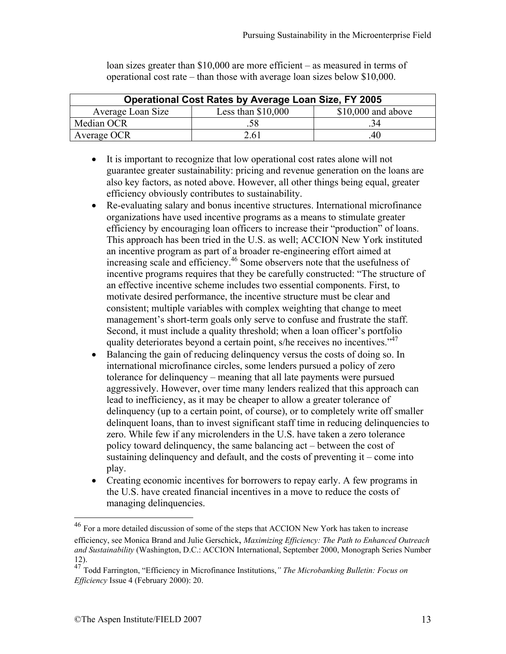| <b>Operational Cost Rates by Average Loan Size, FY 2005</b> |                     |                     |  |  |
|-------------------------------------------------------------|---------------------|---------------------|--|--|
| Average Loan Size                                           | Less than $$10,000$ | $$10,000$ and above |  |  |
| Median OCR                                                  |                     | .34                 |  |  |
| Average OCR                                                 | 2.61                | .40                 |  |  |

loan sizes greater than \$10,000 are more efficient – as measured in terms of operational cost rate – than those with average loan sizes below \$10,000.

- It is important to recognize that low operational cost rates alone will not guarantee greater sustainability: pricing and revenue generation on the loans are also key factors, as noted above. However, all other things being equal, greater efficiency obviously contributes to sustainability.
- Re-evaluating salary and bonus incentive structures. International microfinance organizations have used incentive programs as a means to stimulate greater efficiency by encouraging loan officers to increase their "production" of loans. This approach has been tried in the U.S. as well; ACCION New York instituted an incentive program as part of a broader re-engineering effort aimed at increasing scale and efficiency.46 Some observers note that the usefulness of incentive programs requires that they be carefully constructed: "The structure of an effective incentive scheme includes two essential components. First, to motivate desired performance, the incentive structure must be clear and consistent; multiple variables with complex weighting that change to meet management's short-term goals only serve to confuse and frustrate the staff. Second, it must include a quality threshold; when a loan officer's portfolio quality deteriorates beyond a certain point, s/he receives no incentives."<sup>47</sup>
- Balancing the gain of reducing delinquency versus the costs of doing so. In international microfinance circles, some lenders pursued a policy of zero tolerance for delinquency – meaning that all late payments were pursued aggressively. However, over time many lenders realized that this approach can lead to inefficiency, as it may be cheaper to allow a greater tolerance of delinquency (up to a certain point, of course), or to completely write off smaller delinquent loans, than to invest significant staff time in reducing delinquencies to zero. While few if any microlenders in the U.S. have taken a zero tolerance policy toward delinquency, the same balancing act – between the cost of sustaining delinquency and default, and the costs of preventing it – come into play.
- Creating economic incentives for borrowers to repay early. A few programs in the U.S. have created financial incentives in a move to reduce the costs of managing delinquencies.

<sup>&</sup>lt;sup>46</sup> For a more detailed discussion of some of the steps that ACCION New York has taken to increase efficiency, see Monica Brand and Julie Gerschick, *Maximizing Efficiency: The Path to Enhanced Outreach and Sustainability* (Washington, D.C.: ACCION International, September 2000, Monograph Series Number 12).

<sup>47</sup> Todd Farrington, "Efficiency in Microfinance Institutions,*" The Microbanking Bulletin: Focus on Efficiency* Issue 4 (February 2000): 20.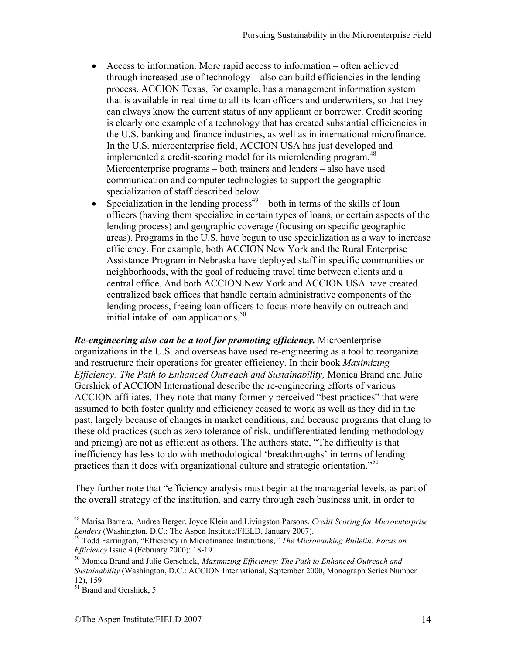- Access to information. More rapid access to information often achieved through increased use of technology – also can build efficiencies in the lending process. ACCION Texas, for example, has a management information system that is available in real time to all its loan officers and underwriters, so that they can always know the current status of any applicant or borrower. Credit scoring is clearly one example of a technology that has created substantial efficiencies in the U.S. banking and finance industries, as well as in international microfinance. In the U.S. microenterprise field, ACCION USA has just developed and implemented a credit-scoring model for its microlending program.<sup>48</sup> Microenterprise programs – both trainers and lenders – also have used communication and computer technologies to support the geographic specialization of staff described below.
- Specialization in the lending process<sup>49</sup> both in terms of the skills of loan officers (having them specialize in certain types of loans, or certain aspects of the lending process) and geographic coverage (focusing on specific geographic areas). Programs in the U.S. have begun to use specialization as a way to increase efficiency. For example, both ACCION New York and the Rural Enterprise Assistance Program in Nebraska have deployed staff in specific communities or neighborhoods, with the goal of reducing travel time between clients and a central office. And both ACCION New York and ACCION USA have created centralized back offices that handle certain administrative components of the lending process, freeing loan officers to focus more heavily on outreach and initial intake of loan applications. $50$

*Re-engineering also can be a tool for promoting efficiency.* Microenterprise organizations in the U.S. and overseas have used re-engineering as a tool to reorganize and restructure their operations for greater efficiency. In their book *Maximizing Efficiency: The Path to Enhanced Outreach and Sustainability,* Monica Brand and Julie Gershick of ACCION International describe the re-engineering efforts of various ACCION affiliates. They note that many formerly perceived "best practices" that were assumed to both foster quality and efficiency ceased to work as well as they did in the past, largely because of changes in market conditions, and because programs that clung to these old practices (such as zero tolerance of risk, undifferentiated lending methodology and pricing) are not as efficient as others. The authors state, "The difficulty is that inefficiency has less to do with methodological 'breakthroughs' in terms of lending practices than it does with organizational culture and strategic orientation.<sup>51</sup>

They further note that "efficiency analysis must begin at the managerial levels, as part of the overall strategy of the institution, and carry through each business unit, in order to

1

<sup>48</sup> Marisa Barrera, Andrea Berger, Joyce Klein and Livingston Parsons, *Credit Scoring for Microenterprise* 

*Lenders* (Washington, D.C.: The Aspen Institute/FIELD, January 2007).<br><sup>49</sup> Todd Farrington, "Efficiency in Microfinance Institutions," The Microbanking Bulletin: Focus on<br>*Efficiency* Issue 4 (February 2000): 18-19.

<sup>&</sup>lt;sup>50</sup> Monica Brand and Julie Gerschick, *Maximizing Efficiency: The Path to Enhanced Outreach and Sustainability* (Washington, D.C.: ACCION International, September 2000, Monograph Series Number 12), 159.

<sup>&</sup>lt;sup>51</sup> Brand and Gershick, 5.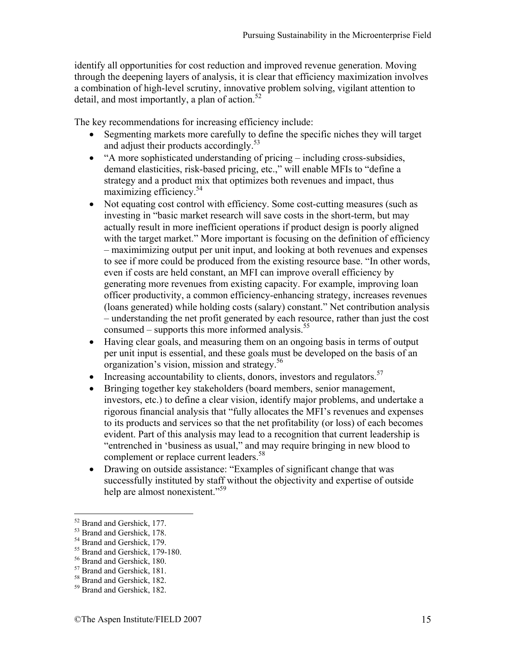identify all opportunities for cost reduction and improved revenue generation. Moving through the deepening layers of analysis, it is clear that efficiency maximization involves a combination of high-level scrutiny, innovative problem solving, vigilant attention to detail, and most importantly, a plan of action. $52$ 

The key recommendations for increasing efficiency include:

- Segmenting markets more carefully to define the specific niches they will target and adjust their products accordingly.<sup>53</sup>
- "A more sophisticated understanding of pricing including cross-subsidies, demand elasticities, risk-based pricing, etc.," will enable MFIs to "define a strategy and a product mix that optimizes both revenues and impact, thus maximizing efficiency.<sup>54</sup>
- Not equating cost control with efficiency. Some cost-cutting measures (such as investing in "basic market research will save costs in the short-term, but may actually result in more inefficient operations if product design is poorly aligned with the target market." More important is focusing on the definition of efficiency – maximimizing output per unit input, and looking at both revenues and expenses to see if more could be produced from the existing resource base. "In other words, even if costs are held constant, an MFI can improve overall efficiency by generating more revenues from existing capacity. For example, improving loan officer productivity, a common efficiency-enhancing strategy, increases revenues (loans generated) while holding costs (salary) constant." Net contribution analysis – understanding the net profit generated by each resource, rather than just the cost consumed – supports this more informed analysis. $55$
- Having clear goals, and measuring them on an ongoing basis in terms of output per unit input is essential, and these goals must be developed on the basis of an organization's vision, mission and strategy.56
- Increasing accountability to clients, donors, investors and regulators.<sup>57</sup>
- Bringing together key stakeholders (board members, senior management, investors, etc.) to define a clear vision, identify major problems, and undertake a rigorous financial analysis that "fully allocates the MFI's revenues and expenses to its products and services so that the net profitability (or loss) of each becomes evident. Part of this analysis may lead to a recognition that current leadership is "entrenched in 'business as usual," and may require bringing in new blood to complement or replace current leaders.<sup>58</sup>
- Drawing on outside assistance: "Examples of significant change that was successfully instituted by staff without the objectivity and expertise of outside help are almost nonexistent."<sup>59</sup>

 $\overline{a}$ <sup>52</sup> Brand and Gershick, 177.

<sup>&</sup>lt;sup>53</sup> Brand and Gershick, 178.

<sup>&</sup>lt;sup>54</sup> Brand and Gershick, 179.

<sup>55</sup> Brand and Gershick, 179-180.

<sup>56</sup> Brand and Gershick, 180.

<sup>57</sup> Brand and Gershick, 181.

<sup>58</sup> Brand and Gershick, 182.

<sup>59</sup> Brand and Gershick, 182.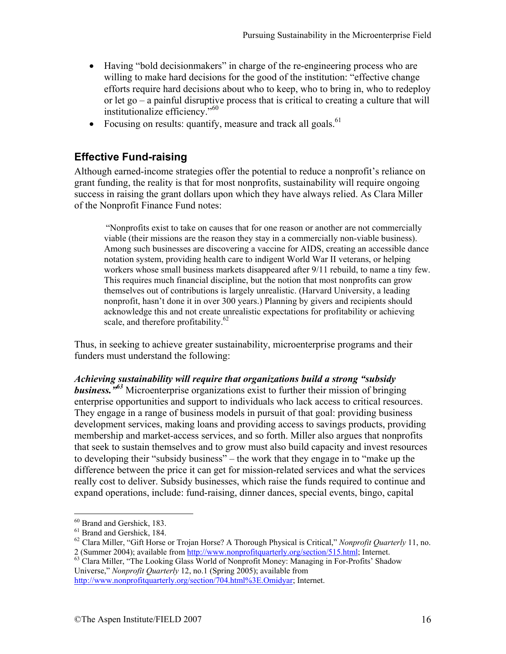- Having "bold decision makers" in charge of the re-engineering process who are willing to make hard decisions for the good of the institution: "effective change efforts require hard decisions about who to keep, who to bring in, who to redeploy or let go – a painful disruptive process that is critical to creating a culture that will institutionalize efficiency."60
- Focusing on results: quantify, measure and track all goals. $61$

## **Effective Fund-raising**

Although earned-income strategies offer the potential to reduce a nonprofit's reliance on grant funding, the reality is that for most nonprofits, sustainability will require ongoing success in raising the grant dollars upon which they have always relied. As Clara Miller of the Nonprofit Finance Fund notes:

"Nonprofits exist to take on causes that for one reason or another are not commercially viable (their missions are the reason they stay in a commercially non-viable business). Among such businesses are discovering a vaccine for AIDS, creating an accessible dance notation system, providing health care to indigent World War II veterans, or helping workers whose small business markets disappeared after 9/11 rebuild, to name a tiny few. This requires much financial discipline, but the notion that most nonprofits can grow themselves out of contributions is largely unrealistic. (Harvard University, a leading nonprofit, hasn't done it in over 300 years.) Planning by givers and recipients should acknowledge this and not create unrealistic expectations for profitability or achieving scale, and therefore profitability.<sup>62</sup>

Thus, in seeking to achieve greater sustainability, microenterprise programs and their funders must understand the following:

#### *Achieving sustainability will require that organizations build a strong "subsidy*

**business.**"<sup>63</sup> Microenterprise organizations exist to further their mission of bringing enterprise opportunities and support to individuals who lack access to critical resources. They engage in a range of business models in pursuit of that goal: providing business development services, making loans and providing access to savings products, providing membership and market-access services, and so forth. Miller also argues that nonprofits that seek to sustain themselves and to grow must also build capacity and invest resources to developing their "subsidy business" – the work that they engage in to "make up the difference between the price it can get for mission-related services and what the services really cost to deliver. Subsidy businesses, which raise the funds required to continue and expand operations, include: fund-raising, dinner dances, special events, bingo, capital

http://www.nonprofitquarterly.org/section/704.html%3E.Omidyar; Internet.

<sup>1</sup> 60 Brand and Gershick, 183.

<sup>&</sup>lt;sup>61</sup> Brand and Gershick, 184.

<sup>62</sup> Clara Miller, "Gift Horse or Trojan Horse? A Thorough Physical is Critical," *Nonprofit Quarterly* 11, no.

<sup>2 (</sup>Summer 2004); available from http://www.nonprofitquarterly.org/section/515.html; Internet.<br><sup>63</sup> Clara Miller, "The Looking Glass World of Nonprofit Money: Managing in For-Profits' Shadow

Universe," *Nonprofit Quarterly* 12, no.1 (Spring 2005); available from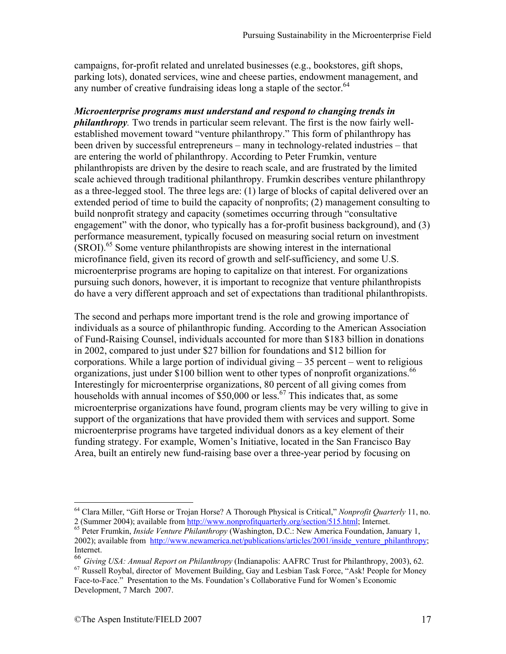campaigns, for-profit related and unrelated businesses (e.g., bookstores, gift shops, parking lots), donated services, wine and cheese parties, endowment management, and any number of creative fundraising ideas long a staple of the sector. $64$ 

*Microenterprise programs must understand and respond to changing trends in philanthropy.* Two trends in particular seem relevant. The first is the now fairly wellestablished movement toward "venture philanthropy." This form of philanthropy has been driven by successful entrepreneurs – many in technology-related industries – that are entering the world of philanthropy. According to Peter Frumkin, venture philanthropists are driven by the desire to reach scale, and are frustrated by the limited scale achieved through traditional philanthropy. Frumkin describes venture philanthropy as a three-legged stool. The three legs are: (1) large of blocks of capital delivered over an extended period of time to build the capacity of nonprofits; (2) management consulting to build nonprofit strategy and capacity (sometimes occurring through "consultative engagement" with the donor, who typically has a for-profit business background), and (3) performance measurement, typically focused on measuring social return on investment  $(SROI)$ <sup>65</sup> Some venture philanthropists are showing interest in the international microfinance field, given its record of growth and self-sufficiency, and some U.S. microenterprise programs are hoping to capitalize on that interest. For organizations pursuing such donors, however, it is important to recognize that venture philanthropists do have a very different approach and set of expectations than traditional philanthropists.

The second and perhaps more important trend is the role and growing importance of individuals as a source of philanthropic funding. According to the American Association of Fund-Raising Counsel, individuals accounted for more than \$183 billion in donations in 2002, compared to just under \$27 billion for foundations and \$12 billion for corporations. While a large portion of individual giving  $-35$  percent – went to religious organizations, just under \$100 billion went to other types of nonprofit organizations.<sup>66</sup> Interestingly for microenterprise organizations, 80 percent of all giving comes from households with annual incomes of \$50,000 or less.<sup>67</sup> This indicates that, as some microenterprise organizations have found, program clients may be very willing to give in support of the organizations that have provided them with services and support. Some microenterprise programs have targeted individual donors as a key element of their funding strategy. For example, Women's Initiative, located in the San Francisco Bay Area, built an entirely new fund-raising base over a three-year period by focusing on

<sup>&</sup>lt;sup>64</sup> Clara Miller, "Gift Horse or Trojan Horse? A Thorough Physical is Critical," *Nonprofit Quarterly* 11, no.<br>2 (Summer 2004); available from http://www.nonprofitguarterly.org/section/515.html; Internet.

<sup>&</sup>lt;sup>65</sup> Peter Frumkin, *Inside Venture Philanthropy* (Washington, D.C.: New America Foundation, January 1, 2002); available from http://www.newamerica.net/publications/articles/2001/inside\_venture\_philanthropy; Internet.

<sup>&</sup>lt;sup>66</sup> *Giving USA: Annual Report on Philanthropy* (Indianapolis: AAFRC Trust for Philanthropy, 2003), 62.<br><sup>67</sup> Russell Roybal, director of Movement Building, Gay and Lesbian Task Force, "Ask! People for Money

Face-to-Face." Presentation to the Ms. Foundation's Collaborative Fund for Women's Economic Development, 7 March 2007.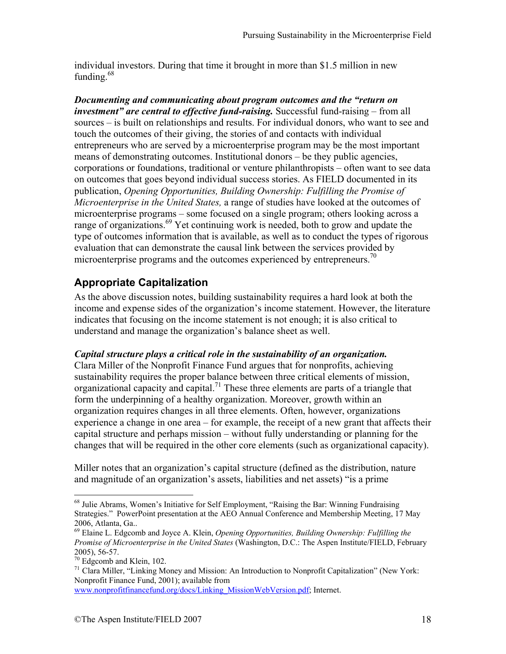individual investors. During that time it brought in more than \$1.5 million in new funding. $68$ 

*Documenting and communicating about program outcomes and the "return on investment" are central to effective fund-raising.* Successful fund-raising – from all sources – is built on relationships and results. For individual donors, who want to see and touch the outcomes of their giving, the stories of and contacts with individual entrepreneurs who are served by a microenterprise program may be the most important means of demonstrating outcomes. Institutional donors – be they public agencies, corporations or foundations, traditional or venture philanthropists – often want to see data on outcomes that goes beyond individual success stories. As FIELD documented in its publication, *Opening Opportunities, Building Ownership: Fulfilling the Promise of Microenterprise in the United States,* a range of studies have looked at the outcomes of microenterprise programs – some focused on a single program; others looking across a range of organizations.<sup>69</sup> Yet continuing work is needed, both to grow and update the type of outcomes information that is available, as well as to conduct the types of rigorous evaluation that can demonstrate the causal link between the services provided by microenterprise programs and the outcomes experienced by entrepreneurs.<sup>70</sup>

## **Appropriate Capitalization**

As the above discussion notes, building sustainability requires a hard look at both the income and expense sides of the organization's income statement. However, the literature indicates that focusing on the income statement is not enough; it is also critical to understand and manage the organization's balance sheet as well.

#### *Capital structure plays a critical role in the sustainability of an organization.*

Clara Miller of the Nonprofit Finance Fund argues that for nonprofits, achieving sustainability requires the proper balance between three critical elements of mission, organizational capacity and capital.<sup>71</sup> These three elements are parts of a triangle that form the underpinning of a healthy organization. Moreover, growth within an organization requires changes in all three elements. Often, however, organizations experience a change in one area – for example, the receipt of a new grant that affects their capital structure and perhaps mission – without fully understanding or planning for the changes that will be required in the other core elements (such as organizational capacity).

Miller notes that an organization's capital structure (defined as the distribution, nature and magnitude of an organization's assets, liabilities and net assets) "is a prime

 $\overline{a}$ 

www.nonprofitfinancefund.org/docs/Linking\_MissionWebVersion.pdf; Internet.

<sup>68</sup> Julie Abrams, Women's Initiative for Self Employment, "Raising the Bar: Winning Fundraising Strategies." PowerPoint presentation at the AEO Annual Conference and Membership Meeting, 17 May 2006, Atlanta, Ga..

<sup>69</sup> Elaine L. Edgcomb and Joyce A. Klein, *Opening Opportunities, Building Ownership: Fulfilling the Promise of Microenterprise in the United States* (Washington, D.C.: The Aspen Institute/FIELD, February 2005), 56-57.

 $^{70}$  Edgcomb and Klein, 102.

<sup>&</sup>lt;sup>71</sup> Clara Miller, "Linking Money and Mission: An Introduction to Nonprofit Capitalization" (New York: Nonprofit Finance Fund, 2001); available from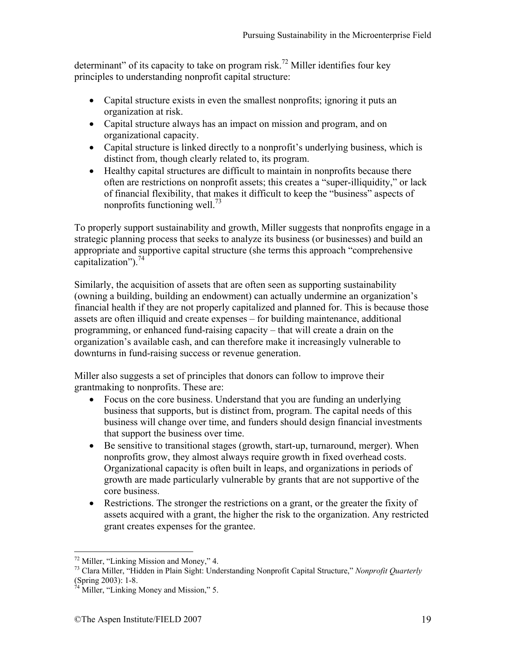determinant" of its capacity to take on program risk.<sup>72</sup> Miller identifies four key principles to understanding nonprofit capital structure:

- Capital structure exists in even the smallest nonprofits; ignoring it puts an organization at risk.
- Capital structure always has an impact on mission and program, and on organizational capacity.
- Capital structure is linked directly to a nonprofit's underlying business, which is distinct from, though clearly related to, its program.
- Healthy capital structures are difficult to maintain in nonprofits because there often are restrictions on nonprofit assets; this creates a "super-illiquidity," or lack of financial flexibility, that makes it difficult to keep the "business" aspects of nonprofits functioning well.<sup>73</sup>

To properly support sustainability and growth, Miller suggests that nonprofits engage in a strategic planning process that seeks to analyze its business (or businesses) and build an appropriate and supportive capital structure (she terms this approach "comprehensive capitalization"). $^{74}$ 

Similarly, the acquisition of assets that are often seen as supporting sustainability (owning a building, building an endowment) can actually undermine an organization's financial health if they are not properly capitalized and planned for. This is because those assets are often illiquid and create expenses – for building maintenance, additional programming, or enhanced fund-raising capacity – that will create a drain on the organization's available cash, and can therefore make it increasingly vulnerable to downturns in fund-raising success or revenue generation.

Miller also suggests a set of principles that donors can follow to improve their grantmaking to nonprofits. These are:

- Focus on the core business. Understand that you are funding an underlying business that supports, but is distinct from, program. The capital needs of this business will change over time, and funders should design financial investments that support the business over time.
- Be sensitive to transitional stages (growth, start-up, turnaround, merger). When nonprofits grow, they almost always require growth in fixed overhead costs. Organizational capacity is often built in leaps, and organizations in periods of growth are made particularly vulnerable by grants that are not supportive of the core business.
- Restrictions. The stronger the restrictions on a grant, or the greater the fixity of assets acquired with a grant, the higher the risk to the organization. Any restricted grant creates expenses for the grantee.

 $\overline{a}$  $72$  Miller, "Linking Mission and Money," 4.

<sup>73</sup> Clara Miller, "Hidden in Plain Sight: Understanding Nonprofit Capital Structure," *Nonprofit Quarterly*  (Spring 2003): 1-8.

Miller, "Linking Money and Mission," 5.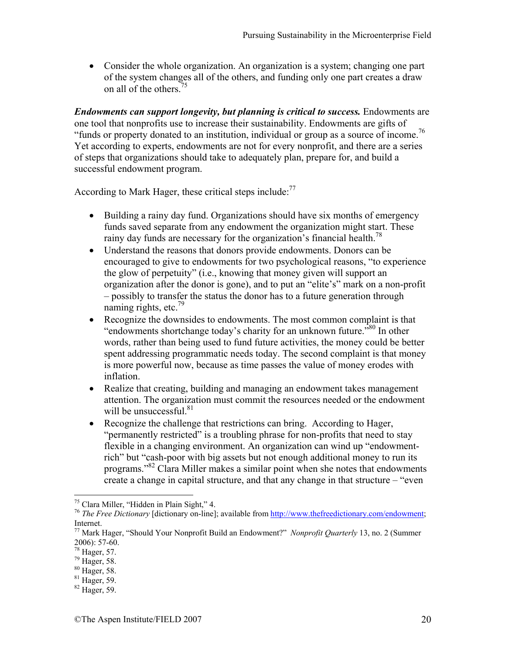• Consider the whole organization. An organization is a system; changing one part of the system changes all of the others, and funding only one part creates a draw on all of the others.75

*Endowments can support longevity, but planning is critical to success.* Endowments are one tool that nonprofits use to increase their sustainability. Endowments are gifts of "funds or property donated to an institution, individual or group as a source of income.76 Yet according to experts, endowments are not for every nonprofit, and there are a series of steps that organizations should take to adequately plan, prepare for, and build a successful endowment program.

According to Mark Hager, these critical steps include: $^{77}$ 

- Building a rainy day fund. Organizations should have six months of emergency funds saved separate from any endowment the organization might start. These rainy day funds are necessary for the organization's financial health.<sup>78</sup>
- Understand the reasons that donors provide endowments. Donors can be encouraged to give to endowments for two psychological reasons, "to experience the glow of perpetuity" (i.e., knowing that money given will support an organization after the donor is gone), and to put an "elite's" mark on a non-profit – possibly to transfer the status the donor has to a future generation through naming rights, etc. $79$
- Recognize the downsides to endowments. The most common complaint is that "endowments shortchange today's charity for an unknown future.<sup>780</sup> In other words, rather than being used to fund future activities, the money could be better spent addressing programmatic needs today. The second complaint is that money is more powerful now, because as time passes the value of money erodes with inflation.
- Realize that creating, building and managing an endowment takes management attention. The organization must commit the resources needed or the endowment will be unsuccessful. $81$
- Recognize the challenge that restrictions can bring. According to Hager, "permanently restricted" is a troubling phrase for non-profits that need to stay flexible in a changing environment. An organization can wind up "endowmentrich" but "cash-poor with big assets but not enough additional money to run its programs."82 Clara Miller makes a similar point when she notes that endowments create a change in capital structure, and that any change in that structure – "even

1

<sup>75</sup> Clara Miller, "Hidden in Plain Sight," 4.

<sup>&</sup>lt;sup>76</sup> *The Free Dictionary* [dictionary on-line]; available from http://www.thefreedictionary.com/endowment; Internet.

<sup>77</sup> Mark Hager, "Should Your Nonprofit Build an Endowment?" *Nonprofit Quarterly* 13, no. 2 (Summer 2006): 57-60.

<sup>78</sup> Hager, 57.

<sup>79</sup> Hager, 58.

<sup>80</sup> Hager, 58.

<sup>81</sup> Hager, 59.

<sup>82</sup> Hager, 59.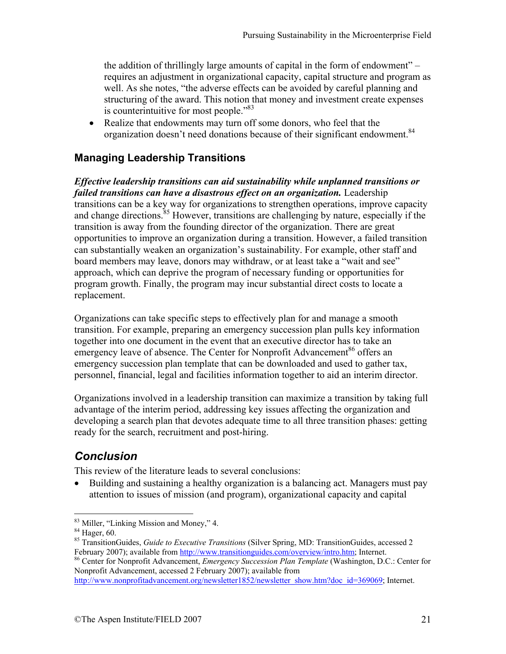the addition of thrillingly large amounts of capital in the form of endowment" – requires an adjustment in organizational capacity, capital structure and program as well. As she notes, "the adverse effects can be avoided by careful planning and structuring of the award. This notion that money and investment create expenses is counterintuitive for most people."<sup>83</sup>

• Realize that endowments may turn off some donors, who feel that the organization doesn't need donations because of their significant endowment.<sup>84</sup>

## **Managing Leadership Transitions**

*Effective leadership transitions can aid sustainability while unplanned transitions or failed transitions can have a disastrous effect on an organization.* Leadership transitions can be a key way for organizations to strengthen operations, improve capacity and change directions.<sup>85</sup> However, transitions are challenging by nature, especially if the transition is away from the founding director of the organization. There are great opportunities to improve an organization during a transition. However, a failed transition can substantially weaken an organization's sustainability. For example, other staff and board members may leave, donors may withdraw, or at least take a "wait and see" approach, which can deprive the program of necessary funding or opportunities for program growth. Finally, the program may incur substantial direct costs to locate a replacement.

Organizations can take specific steps to effectively plan for and manage a smooth transition. For example, preparing an emergency succession plan pulls key information together into one document in the event that an executive director has to take an emergency leave of absence. The Center for Nonprofit Advancement<sup>86</sup> offers an emergency succession plan template that can be downloaded and used to gather tax, personnel, financial, legal and facilities information together to aid an interim director.

Organizations involved in a leadership transition can maximize a transition by taking full advantage of the interim period, addressing key issues affecting the organization and developing a search plan that devotes adequate time to all three transition phases: getting ready for the search, recruitment and post-hiring.

## *Conclusion*

This review of the literature leads to several conclusions:

• Building and sustaining a healthy organization is a balancing act. Managers must pay attention to issues of mission (and program), organizational capacity and capital

<sup>&</sup>lt;sup>83</sup> Miller, "Linking Mission and Money," 4.

 $84$  Hager, 60.

<sup>85</sup> TransitionGuides, *Guide to Executive Transitions* (Silver Spring, MD: TransitionGuides, accessed 2 February 2007); available from http://www.transitionguides.com/overview/intro.htm; Internet. 86 Center for Nonprofit Advancement, *Emergency Succession Plan Template* (Washington, D.C.: Center for

Nonprofit Advancement, accessed 2 February 2007); available from

http://www.nonprofitadvancement.org/newsletter1852/newsletter\_show.htm?doc\_id=369069; Internet.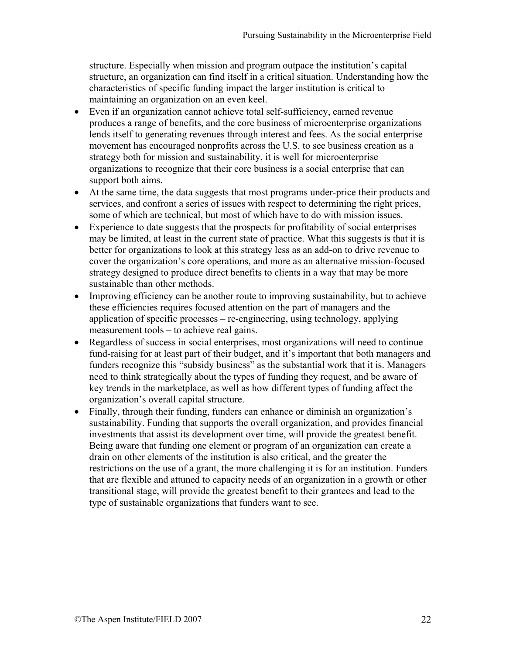structure. Especially when mission and program outpace the institution's capital structure, an organization can find itself in a critical situation. Understanding how the characteristics of specific funding impact the larger institution is critical to maintaining an organization on an even keel.

- Even if an organization cannot achieve total self-sufficiency, earned revenue produces a range of benefits, and the core business of microenterprise organizations lends itself to generating revenues through interest and fees. As the social enterprise movement has encouraged nonprofits across the U.S. to see business creation as a strategy both for mission and sustainability, it is well for microenterprise organizations to recognize that their core business is a social enterprise that can support both aims.
- At the same time, the data suggests that most programs under-price their products and services, and confront a series of issues with respect to determining the right prices, some of which are technical, but most of which have to do with mission issues.
- Experience to date suggests that the prospects for profitability of social enterprises may be limited, at least in the current state of practice. What this suggests is that it is better for organizations to look at this strategy less as an add-on to drive revenue to cover the organization's core operations, and more as an alternative mission-focused strategy designed to produce direct benefits to clients in a way that may be more sustainable than other methods.
- Improving efficiency can be another route to improving sustainability, but to achieve these efficiencies requires focused attention on the part of managers and the application of specific processes – re-engineering, using technology, applying measurement tools – to achieve real gains.
- Regardless of success in social enterprises, most organizations will need to continue fund-raising for at least part of their budget, and it's important that both managers and funders recognize this "subsidy business" as the substantial work that it is. Managers need to think strategically about the types of funding they request, and be aware of key trends in the marketplace, as well as how different types of funding affect the organization's overall capital structure.
- Finally, through their funding, funders can enhance or diminish an organization's sustainability. Funding that supports the overall organization, and provides financial investments that assist its development over time, will provide the greatest benefit. Being aware that funding one element or program of an organization can create a drain on other elements of the institution is also critical, and the greater the restrictions on the use of a grant, the more challenging it is for an institution. Funders that are flexible and attuned to capacity needs of an organization in a growth or other transitional stage, will provide the greatest benefit to their grantees and lead to the type of sustainable organizations that funders want to see.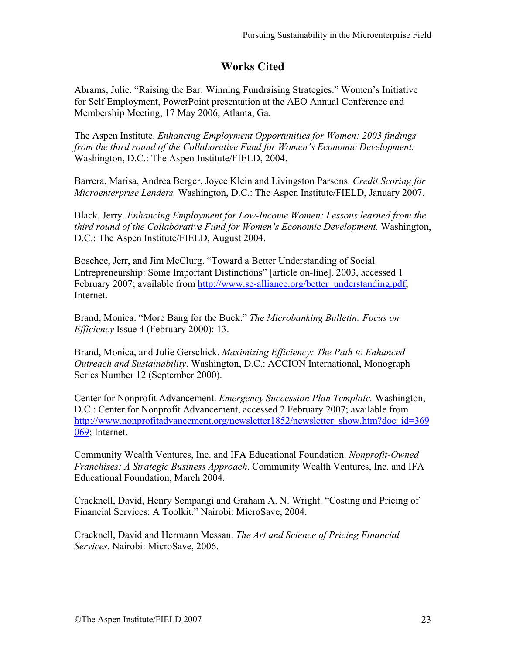## **Works Cited**

Abrams, Julie. "Raising the Bar: Winning Fundraising Strategies." Women's Initiative for Self Employment, PowerPoint presentation at the AEO Annual Conference and Membership Meeting, 17 May 2006, Atlanta, Ga.

The Aspen Institute. *Enhancing Employment Opportunities for Women: 2003 findings from the third round of the Collaborative Fund for Women's Economic Development.* Washington, D.C.: The Aspen Institute/FIELD, 2004.

Barrera, Marisa, Andrea Berger, Joyce Klein and Livingston Parsons. *Credit Scoring for Microenterprise Lenders.* Washington, D.C.: The Aspen Institute/FIELD, January 2007.

Black, Jerry. *Enhancing Employment for Low-Income Women: Lessons learned from the third round of the Collaborative Fund for Women's Economic Development.* Washington, D.C.: The Aspen Institute/FIELD, August 2004.

Boschee, Jerr, and Jim McClurg. "Toward a Better Understanding of Social Entrepreneurship: Some Important Distinctions" [article on-line]. 2003, accessed 1 February 2007; available from http://www.se-alliance.org/better\_understanding.pdf; Internet.

Brand, Monica. "More Bang for the Buck." *The Microbanking Bulletin: Focus on Efficiency* Issue 4 (February 2000): 13.

Brand, Monica, and Julie Gerschick. *Maximizing Efficiency: The Path to Enhanced Outreach and Sustainability*. Washington, D.C.: ACCION International, Monograph Series Number 12 (September 2000).

Center for Nonprofit Advancement. *Emergency Succession Plan Template.* Washington, D.C.: Center for Nonprofit Advancement, accessed 2 February 2007; available from http://www.nonprofitadvancement.org/newsletter1852/newsletter\_show.htm?doc\_id=369 069; Internet.

Community Wealth Ventures, Inc. and IFA Educational Foundation. *Nonprofit-Owned Franchises: A Strategic Business Approach*. Community Wealth Ventures, Inc. and IFA Educational Foundation, March 2004.

Cracknell, David, Henry Sempangi and Graham A. N. Wright. "Costing and Pricing of Financial Services: A Toolkit." Nairobi: MicroSave, 2004.

Cracknell, David and Hermann Messan. *The Art and Science of Pricing Financial Services*. Nairobi: MicroSave, 2006.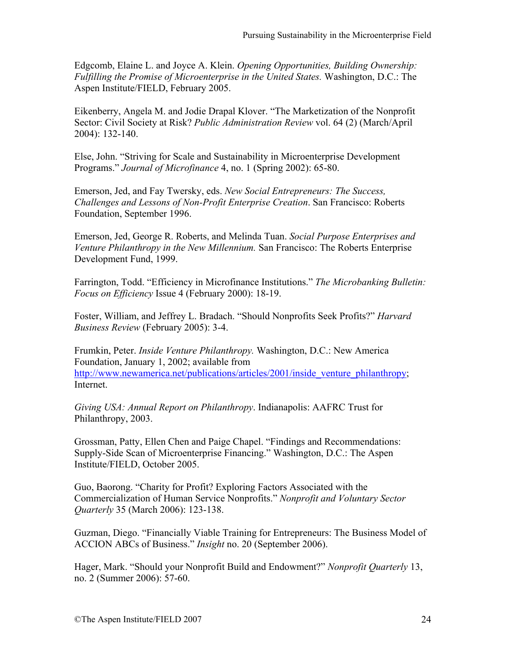Edgcomb, Elaine L. and Joyce A. Klein. *Opening Opportunities, Building Ownership: Fulfilling the Promise of Microenterprise in the United States.* Washington, D.C.: The Aspen Institute/FIELD, February 2005.

Eikenberry, Angela M. and Jodie Drapal Klover. "The Marketization of the Nonprofit Sector: Civil Society at Risk? *Public Administration Review* vol. 64 (2) (March/April 2004): 132-140.

Else, John. "Striving for Scale and Sustainability in Microenterprise Development Programs." *Journal of Microfinance* 4, no. 1 (Spring 2002): 65-80.

Emerson, Jed, and Fay Twersky, eds. *New Social Entrepreneurs: The Success, Challenges and Lessons of Non-Profit Enterprise Creation*. San Francisco: Roberts Foundation, September 1996.

Emerson, Jed, George R. Roberts, and Melinda Tuan. *Social Purpose Enterprises and Venture Philanthropy in the New Millennium.* San Francisco: The Roberts Enterprise Development Fund, 1999.

Farrington, Todd. "Efficiency in Microfinance Institutions." *The Microbanking Bulletin: Focus on Efficiency* Issue 4 (February 2000): 18-19.

Foster, William, and Jeffrey L. Bradach. "Should Nonprofits Seek Profits?" *Harvard Business Review* (February 2005): 3-4.

Frumkin, Peter. *Inside Venture Philanthropy.* Washington, D.C.: New America Foundation, January 1, 2002; available from http://www.newamerica.net/publications/articles/2001/inside venture philanthropy; Internet.

*Giving USA: Annual Report on Philanthropy*. Indianapolis: AAFRC Trust for Philanthropy, 2003.

Grossman, Patty, Ellen Chen and Paige Chapel. "Findings and Recommendations: Supply-Side Scan of Microenterprise Financing." Washington, D.C.: The Aspen Institute/FIELD, October 2005.

Guo, Baorong. "Charity for Profit? Exploring Factors Associated with the Commercialization of Human Service Nonprofits." *Nonprofit and Voluntary Sector Quarterly* 35 (March 2006): 123-138.

Guzman, Diego. "Financially Viable Training for Entrepreneurs: The Business Model of ACCION ABCs of Business." *Insight* no. 20 (September 2006).

Hager, Mark. "Should your Nonprofit Build and Endowment?" *Nonprofit Quarterly* 13, no. 2 (Summer 2006): 57-60.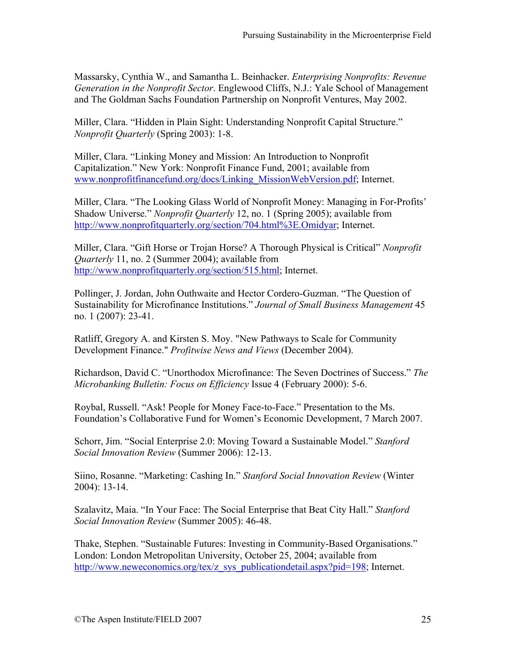Massarsky, Cynthia W., and Samantha L. Beinhacker. *Enterprising Nonprofits: Revenue Generation in the Nonprofit Sector*. Englewood Cliffs, N.J.: Yale School of Management and The Goldman Sachs Foundation Partnership on Nonprofit Ventures, May 2002.

Miller, Clara. "Hidden in Plain Sight: Understanding Nonprofit Capital Structure." *Nonprofit Quarterly* (Spring 2003): 1-8.

Miller, Clara. "Linking Money and Mission: An Introduction to Nonprofit Capitalization." New York: Nonprofit Finance Fund, 2001; available from www.nonprofitfinancefund.org/docs/Linking\_MissionWebVersion.pdf; Internet.

Miller, Clara. "The Looking Glass World of Nonprofit Money: Managing in For-Profits' Shadow Universe." *Nonprofit Quarterly* 12, no. 1 (Spring 2005); available from http://www.nonprofitquarterly.org/section/704.html%3E.Omidyar; Internet.

Miller, Clara. "Gift Horse or Trojan Horse? A Thorough Physical is Critical" *Nonprofit Quarterly* 11, no. 2 (Summer 2004); available from http://www.nonprofitquarterly.org/section/515.html; Internet.

Pollinger, J. Jordan, John Outhwaite and Hector Cordero-Guzman. "The Question of Sustainability for Microfinance Institutions." *Journal of Small Business Management* 45 no. 1 (2007): 23-41.

Ratliff, Gregory A. and Kirsten S. Moy. "New Pathways to Scale for Community Development Finance." *Profitwise News and Views* (December 2004).

Richardson, David C. "Unorthodox Microfinance: The Seven Doctrines of Success." *The Microbanking Bulletin: Focus on Efficiency* Issue 4 (February 2000): 5-6.

Roybal, Russell. "Ask! People for Money Face-to-Face." Presentation to the Ms. Foundation's Collaborative Fund for Women's Economic Development, 7 March 2007.

Schorr, Jim. "Social Enterprise 2.0: Moving Toward a Sustainable Model." *Stanford Social Innovation Review* (Summer 2006): 12-13.

Siino, Rosanne. "Marketing: Cashing In." *Stanford Social Innovation Review* (Winter 2004): 13-14.

Szalavitz, Maia. "In Your Face: The Social Enterprise that Beat City Hall." *Stanford Social Innovation Review* (Summer 2005): 46-48.

Thake, Stephen. "Sustainable Futures: Investing in Community-Based Organisations." London: London Metropolitan University, October 25, 2004; available from http://www.neweconomics.org/tex/z\_sys\_publicationdetail.aspx?pid=198; Internet.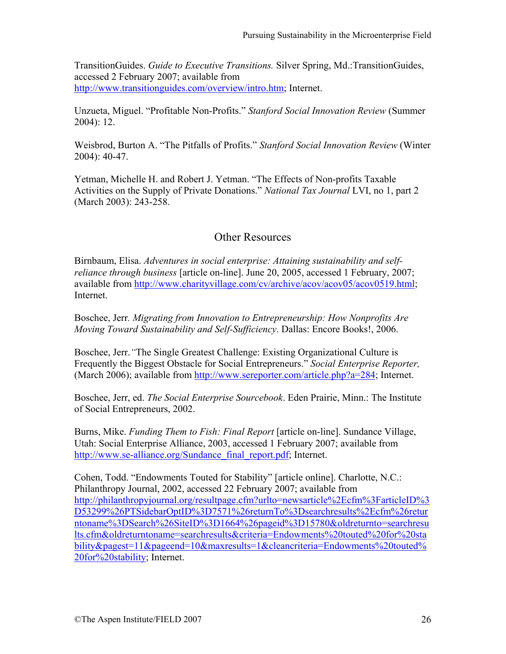TransitionGuides. *Guide to Executive Transitions.* Silver Spring, Md.:TransitionGuides, accessed 2 February 2007; available from http://www.transitionguides.com/overview/intro.htm; Internet.

Unzueta, Miguel. "Profitable Non-Profits." *Stanford Social Innovation Review* (Summer 2004): 12.

Weisbrod, Burton A. "The Pitfalls of Profits." *Stanford Social Innovation Review* (Winter 2004): 40-47.

Yetman, Michelle H. and Robert J. Yetman. "The Effects of Non-profits Taxable Activities on the Supply of Private Donations." *National Tax Journal* LVI, no 1, part 2 (March 2003): 243-258.

## Other Resources

Birnbaum, Elisa. *Adventures in social enterprise: Attaining sustainability and selfreliance through business* [article on-line]. June 20, 2005, accessed 1 February, 2007; available from http://www.charityvillage.com/cv/archive/acov/acov05/acov0519.html; Internet.

Boschee, Jerr*. Migrating from Innovation to Entrepreneurship: How Nonprofits Are Moving Toward Sustainability and Self-Sufficiency*. Dallas: Encore Books!, 2006.

Boschee, Jerr.*"*The Single Greatest Challenge: Existing Organizational Culture is Frequently the Biggest Obstacle for Social Entrepreneurs." *Social Enterprise Reporter,*  (March 2006); available from http://www.sereporter.com/article.php?a=284; Internet.

Boschee, Jerr, ed. *The Social Enterprise Sourcebook*. Eden Prairie, Minn.: The Institute of Social Entrepreneurs, 2002.

Burns, Mike. *Funding Them to Fish: Final Report* [article on-line]. Sundance Village, Utah: Social Enterprise Alliance, 2003, accessed 1 February 2007; available from http://www.se-alliance.org/Sundance\_final\_report.pdf; Internet.

Cohen, Todd. "Endowments Touted for Stability" [article online]. Charlotte, N.C.: Philanthropy Journal, 2002, accessed 22 February 2007; available from http://philanthropyjournal.org/resultpage.cfm?urlto=newsarticle%2Ecfm%3FarticleID%3 D53299%26PTSidebarOptID%3D7571%26returnTo%3Dsearchresults%2Ecfm%26retur ntoname%3DSearch%26SiteID%3D1664%26pageid%3D15780&oldreturnto=searchresu lts.cfm&oldreturntoname=searchresults&criteria=Endowments%20touted%20for%20sta bility&pagest=11&pageend=10&maxresults=1&cleancriteria=Endowments%20touted% 20for%20stability; Internet.